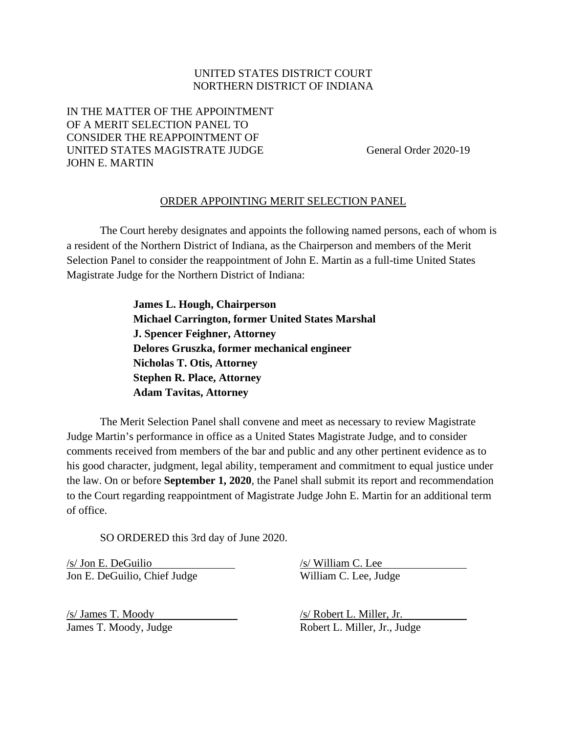## UNITED STATES DISTRICT COURT NORTHERN DISTRICT OF INDIANA

## IN THE MATTER OF THE APPOINTMENT OF A MERIT SELECTION PANEL TO CONSIDER THE REAPPOINTMENT OF UNITED STATES MAGISTRATE JUDGE General Order 2020-19 JOHN E. MARTIN

## ORDER APPOINTING MERIT SELECTION PANEL

The Court hereby designates and appoints the following named persons, each of whom is a resident of the Northern District of Indiana, as the Chairperson and members of the Merit Selection Panel to consider the reappointment of John E. Martin as a full-time United States Magistrate Judge for the Northern District of Indiana:

> **James L. Hough, Chairperson Michael Carrington, former United States Marshal J. Spencer Feighner, Attorney Delores Gruszka, former mechanical engineer Nicholas T. Otis, Attorney Stephen R. Place, Attorney Adam Tavitas, Attorney**

The Merit Selection Panel shall convene and meet as necessary to review Magistrate Judge Martin's performance in office as a United States Magistrate Judge, and to consider comments received from members of the bar and public and any other pertinent evidence as to his good character, judgment, legal ability, temperament and commitment to equal justice under the law. On or before **September 1, 2020**, the Panel shall submit its report and recommendation to the Court regarding reappointment of Magistrate Judge John E. Martin for an additional term of office.

SO ORDERED this 3rd day of June 2020.

 $\sqrt{s}$  Jon E. DeGuilio  $\sqrt{s}$  William C. Lee Jon E. DeGuilio, Chief Judge William C. Lee, Judge

/s/ James T. Moody /s/ Robert L. Miller, Jr.

James T. Moody, Judge Robert L. Miller, Jr., Judge